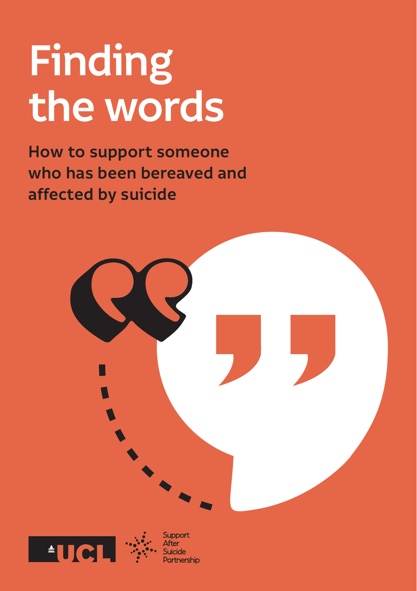# **Finding the words**

**How to support someone who has been bereaved and affected by suicide**

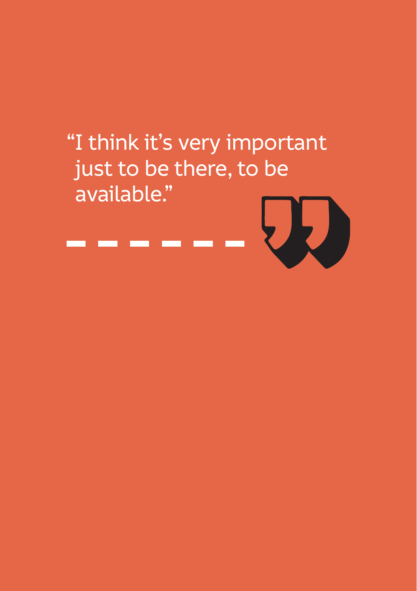## "I think it's very important just to be there, to be available."

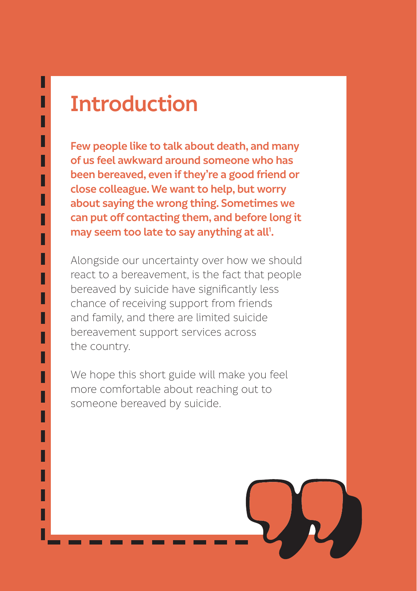### **Introduction**

Н П

ll L Н Н H L L

Н Н

> L H L

Н П

> L H H

L

**Few people like to talk about death, and many of us feel awkward around someone who has been bereaved, even if they're a good friend or close colleague. We want to help, but worry about saying the wrong thing. Sometimes we can put off contacting them, and before long it**  may seem too late to say anything at all<sup>1</sup>.

Alongside our uncertainty over how we should react to a bereavement, is the fact that people bereaved by suicide have significantly less chance of receiving support from friends and family, and there are limited suicide bereavement support services across the country.

We hope this short guide will make you feel more comfortable about reaching out to someone bereaved by suicide.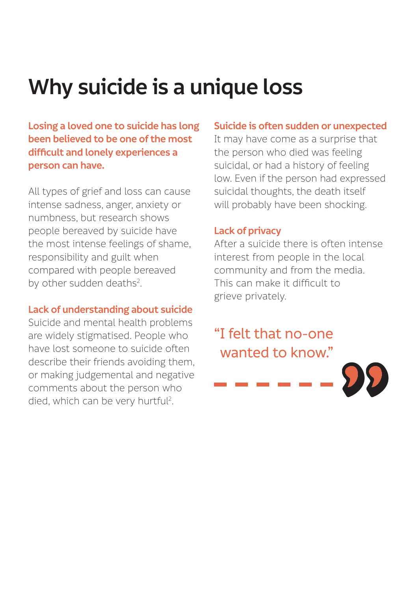### **Why suicide is a unique loss**

**Losing a loved one to suicide has long been believed to be one of the most difficult and lonely experiences a person can have.** 

All types of grief and loss can cause intense sadness, anger, anxiety or numbness, but research shows people bereaved by suicide have the most intense feelings of shame, responsibility and guilt when compared with people bereaved by other sudden deaths<sup>2</sup>.

#### **Lack of understanding about suicide**

Suicide and mental health problems are widely stigmatised. People who have lost someone to suicide often describe their friends avoiding them, or making judgemental and negative comments about the person who died, which can be very hurtful<sup>2</sup>.

#### **Suicide is often sudden or unexpected**

It may have come as a surprise that the person who died was feeling suicidal, or had a history of feeling low. Even if the person had expressed suicidal thoughts, the death itself will probably have been shocking.

#### **Lack of privacy**

After a suicide there is often intense interest from people in the local community and from the media. This can make it difficult to grieve privately.

#### "I felt that no-one wanted to know."

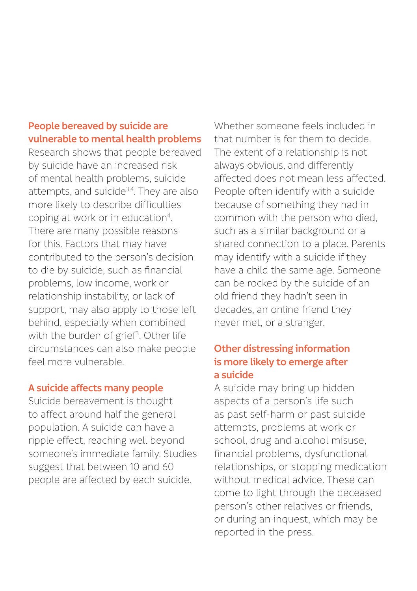#### **People bereaved by suicide are vulnerable to mental health problems**

Research shows that people bereaved by suicide have an increased risk of mental health problems, suicide attempts, and suicide<sup>3,4</sup>. They are also more likely to describe difficulties coping at work or in education<sup>4</sup>. There are many possible reasons for this. Factors that may have contributed to the person's decision to die by suicide, such as financial problems, low income, work or relationship instability, or lack of support, may also apply to those left behind, especially when combined with the burden of grief<sup>3</sup>. Other life circumstances can also make people feel more vulnerable.

#### **A suicide affects many people**

Suicide bereavement is thought to affect around half the general population. A suicide can have a ripple effect, reaching well beyond someone's immediate family. Studies suggest that between 10 and 60 people are affected by each suicide.

Whether someone feels included in that number is for them to decide. The extent of a relationship is not always obvious, and differently affected does not mean less affected. People often identify with a suicide because of something they had in common with the person who died, such as a similar background or a shared connection to a place. Parents may identify with a suicide if they have a child the same age. Someone can be rocked by the suicide of an old friend they hadn't seen in decades, an online friend they never met, or a stranger.

#### **Other distressing information is more likely to emerge after a suicide**

A suicide may bring up hidden aspects of a person's life such as past self-harm or past suicide attempts, problems at work or school, drug and alcohol misuse, financial problems, dysfunctional relationships, or stopping medication without medical advice. These can come to light through the deceased person's other relatives or friends, or during an inquest, which may be reported in the press.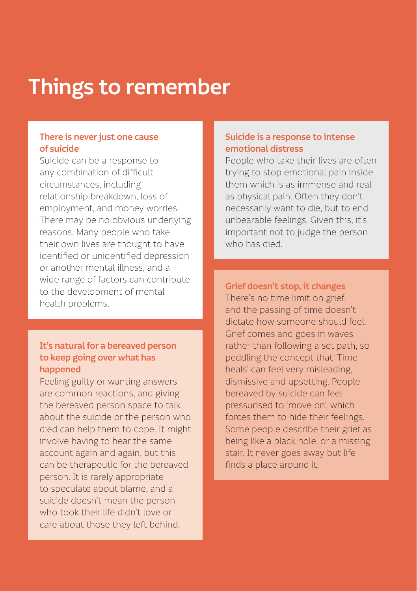### **Things to remember**

#### **There is never just one cause of suicide**

Suicide can be a response to any combination of difficult circumstances, including relationship breakdown, loss of employment, and money worries. There may be no obvious underlying reasons. Many people who take their own lives are thought to have identified or unidentified depression or another mental illness, and a wide range of factors can contribute to the development of mental health problems.

#### **It's natural for a bereaved person to keep going over what has happened**

Feeling guilty or wanting answers are common reactions, and giving the bereaved person space to talk about the suicide or the person who died can help them to cope. It might involve having to hear the same account again and again, but this can be therapeutic for the bereaved person. It is rarely appropriate to speculate about blame, and a suicide doesn't mean the person who took their life didn't love or care about those they left behind.

#### **Suicide is a response to intense emotional distress**

People who take their lives are often trying to stop emotional pain inside them which is as immense and real as physical pain. Often they don't necessarily want to die, but to end unbearable feelings. Given this, it's important not to judge the person who has died.

**Grief doesn't stop, it changes** There's no time limit on grief, and the passing of time doesn't dictate how someone should feel. Grief comes and goes in waves rather than following a set path, so peddling the concept that 'Time heals' can feel very misleading, dismissive and upsetting. People bereaved by suicide can feel pressurised to 'move on', which forces them to hide their feelings. Some people describe their grief as being like a black hole, or a missing stair. It never goes away but life finds a place around it.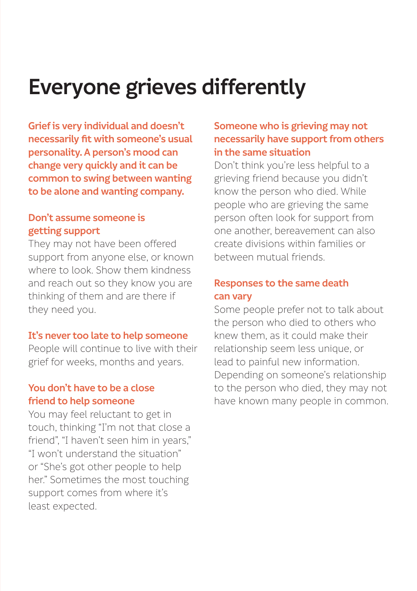### **Everyone grieves differently**

**Grief is very individual and doesn't necessarily fit with someone's usual personality. A person's mood can change very quickly and it can be common to swing between wanting to be alone and wanting company.** 

#### **Don't assume someone is getting support**

They may not have been offered support from anyone else, or known where to look. Show them kindness and reach out so they know you are thinking of them and are there if they need you.

#### **It's never too late to help someone**

People will continue to live with their grief for weeks, months and years.

#### **You don't have to be a close friend to help someone**

You may feel reluctant to get in touch, thinking "I'm not that close a friend", "I haven't seen him in years," "I won't understand the situation" or "She's got other people to help her." Sometimes the most touching support comes from where it's least expected.

#### **Someone who is grieving may not necessarily have support from others in the same situation**

Don't think you're less helpful to a grieving friend because you didn't know the person who died. While people who are grieving the same person often look for support from one another, bereavement can also create divisions within families or between mutual friends.

#### **Responses to the same death can vary**

Some people prefer not to talk about the person who died to others who knew them, as it could make their relationship seem less unique, or lead to painful new information. Depending on someone's relationship to the person who died, they may not have known many people in common.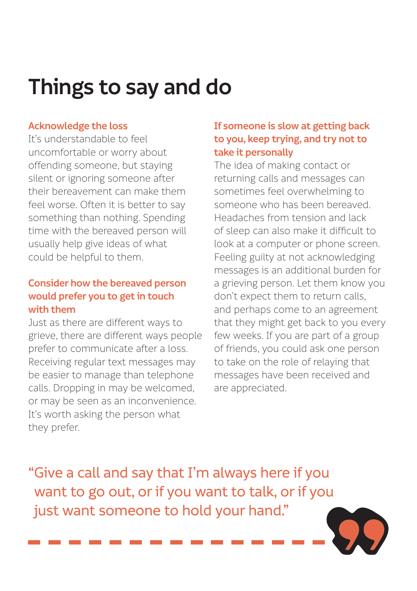### **Things to say and do**

#### **Acknowledge the loss**

It's understandable to feel uncomfortable or worry about offending someone, but staying silent or ignoring someone after their bereavement can make them feel worse. Often it is better to say something than nothing. Spending time with the bereaved person will usually help give ideas of what could be helpful to them.

#### **Consider how the bereaved person would prefer you to get in touch with them**

Just as there are different ways to grieve, there are different ways people prefer to communicate after a loss. Receiving regular text messages may be easier to manage than telephone calls. Dropping in may be welcomed, or may be seen as an inconvenience. It's worth asking the person what they prefer.

#### **If someone is slow at getting back to you, keep trying, and try not to take it personally**

The idea of making contact or returning calls and messages can sometimes feel overwhelming to someone who has been bereaved. Headaches from tension and lack of sleep can also make it difficult to look at a computer or phone screen. Feeling guilty at not acknowledging messages is an additional burden for a grieving person. Let them know you don't expect them to return calls, and perhaps come to an agreement that they might get back to you every few weeks. If you are part of a group of friends, you could ask one person to take on the role of relaying that messages have been received and are appreciated.

"Give a call and say that I'm always here if you want to go out, or if you want to talk, or if you just want someone to hold your hand."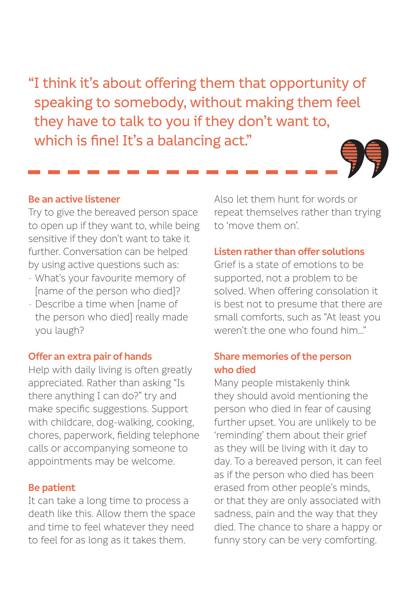"I think it's about offering them that opportunity of speaking to somebody, without making them feel they have to talk to you if they don't want to, which is fine! It's a balancing act."

#### **Be an active listener**

Try to give the bereaved person space to open up if they want to, while being sensitive if they don't want to take it further. Conversation can be helped by using active questions such as:

- What's your favourite memory of [name of the person who died]?
- Describe a time when [name of the person who died] really made you laugh?

#### **Offer an extra pair of hands**

Help with daily living is often greatly appreciated. Rather than asking "Is there anything I can do?" try and make specific suggestions. Support with childcare, dog-walking, cooking, chores, paperwork, fielding telephone calls or accompanying someone to appointments may be welcome.

#### **Be patient**

It can take a long time to process a death like this. Allow them the space and time to feel whatever they need to feel for as long as it takes them.

Also let them hunt for words or repeat themselves rather than trying to 'move them on'.

#### **Listen rather than offer solutions**

Grief is a state of emotions to be supported, not a problem to be solved. When offering consolation it is best not to presume that there are small comforts, such as "At least you weren't the one who found him."

#### **Share memories of the person who died**

Many people mistakenly think they should avoid mentioning the person who died in fear of causing further upset. You are unlikely to be 'reminding' them about their grief as they will be living with it day to day. To a bereaved person, it can feel as if the person who died has been erased from other people's minds, or that they are only associated with sadness, pain and the way that they died. The chance to share a happy or funny story can be very comforting.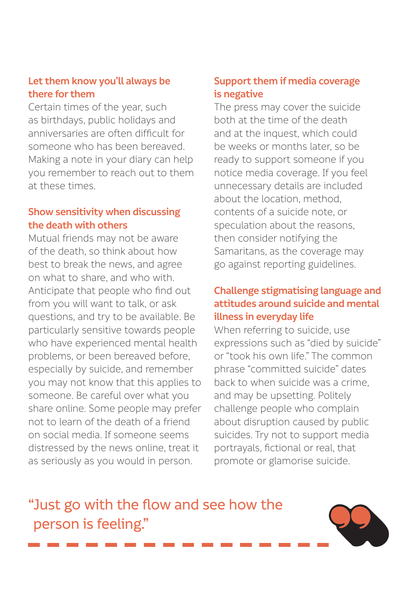#### **Let them know you'll always be there for them**

Certain times of the year, such as birthdays, public holidays and anniversaries are often difficult for someone who has been bereaved. Making a note in your diary can help you remember to reach out to them at these times.

#### **Show sensitivity when discussing the death with others**

Mutual friends may not be aware of the death, so think about how best to break the news, and agree on what to share, and who with. Anticipate that people who find out from you will want to talk, or ask questions, and try to be available. Be particularly sensitive towards people who have experienced mental health problems, or been bereaved before, especially by suicide, and remember you may not know that this applies to someone. Be careful over what you share online. Some people may prefer not to learn of the death of a friend on social media. If someone seems distressed by the news online, treat it as seriously as you would in person.

#### **Support them if media coverage is negative**

The press may cover the suicide both at the time of the death and at the inquest, which could be weeks or months later, so be ready to support someone if you notice media coverage. If you feel unnecessary details are included about the location, method, contents of a suicide note, or speculation about the reasons, then consider notifying the Samaritans, as the coverage may go against reporting guidelines.

#### **Challenge stigmatising language and attitudes around suicide and mental illness in everyday life**

When referring to suicide, use expressions such as "died by suicide" or "took his own life." The common phrase "committed suicide" dates back to when suicide was a crime, and may be upsetting. Politely challenge people who complain about disruption caused by public suicides. Try not to support media portrayals, fictional or real, that promote or glamorise suicide.

### "Just go with the flow and see how the person is feeling."

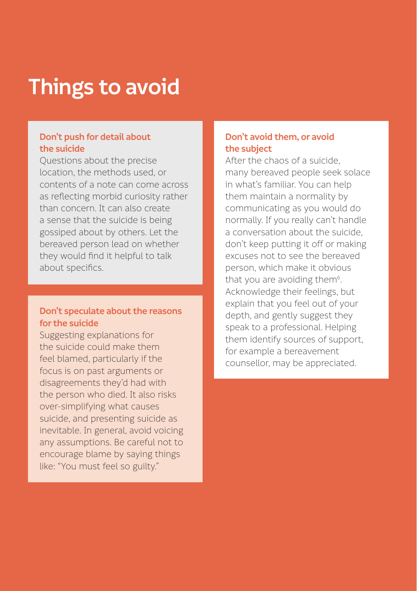### **Things to avoid**

#### **Don't push for detail about the suicide**

Questions about the precise location, the methods used, or contents of a note can come across as reflecting morbid curiosity rather than concern. It can also create a sense that the suicide is being gossiped about by others. Let the bereaved person lead on whether they would find it helpful to talk about specifics.

#### **Don't speculate about the reasons for the suicide**

Suggesting explanations for the suicide could make them feel blamed, particularly if the focus is on past arguments or disagreements they'd had with the person who died. It also risks over-simplifying what causes suicide, and presenting suicide as inevitable. In general, avoid voicing any assumptions. Be careful not to encourage blame by saying things like: "You must feel so guilty."

#### **Don't avoid them, or avoid the subject**

After the chaos of a suicide, many bereaved people seek solace in what's familiar. You can help them maintain a normality by communicating as you would do normally. If you really can't handle a conversation about the suicide, don't keep putting it off or making excuses not to see the bereaved person, which make it obvious that you are avoiding them<sup>6</sup>. Acknowledge their feelings, but explain that you feel out of your depth, and gently suggest they speak to a professional. Helping them identify sources of support, for example a bereavement counsellor, may be appreciated.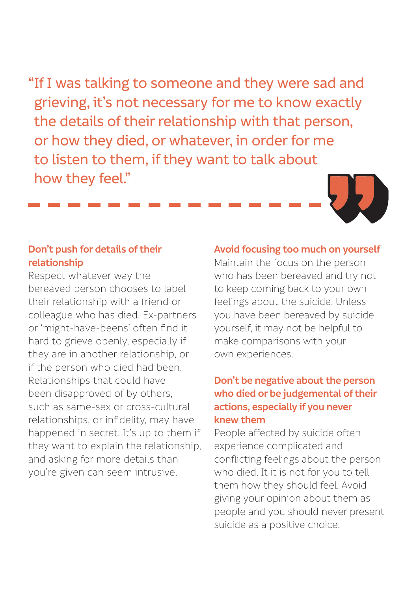"If I was talking to someone and they were sad and grieving, it's not necessary for me to know exactly the details of their relationship with that person, or how they died, or whatever, in order for me to listen to them, if they want to talk about how they feel."

#### **Don't push for details of their relationship**

Respect whatever way the bereaved person chooses to label their relationship with a friend or colleague who has died. Ex-partners or 'might-have-beens' often find it hard to grieve openly, especially if they are in another relationship, or if the person who died had been. Relationships that could have been disapproved of by others, such as same-sex or cross-cultural relationships, or infidelity, may have happened in secret. It's up to them if they want to explain the relationship, and asking for more details than you're given can seem intrusive.

#### **Avoid focusing too much on yourself** Maintain the focus on the person

who has been bereaved and try not to keep coming back to your own feelings about the suicide. Unless you have been bereaved by suicide yourself, it may not be helpful to make comparisons with your own experiences.

#### **Don't be negative about the person who died or be judgemental of their actions, especially if you never knew them**

People affected by suicide often experience complicated and conflicting feelings about the person who died. It it is not for you to tell them how they should feel. Avoid giving your opinion about them as people and you should never present suicide as a positive choice.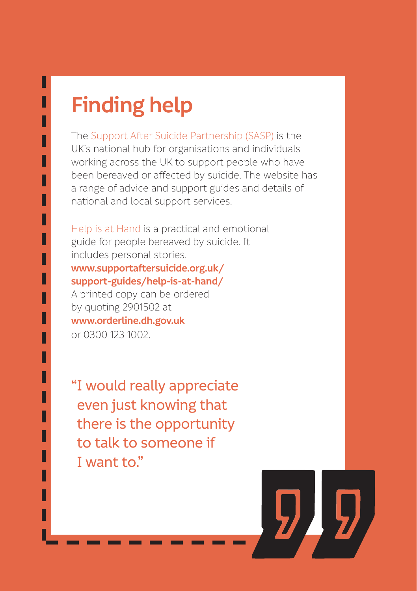### **Finding help**

Н П

> ll H

H

H H H H H

H

П

H H ll H H

H H The Support After Suicide Partnership (SASP) is the UK's national hub for organisations and individuals working across the UK to support people who have been bereaved or affected by suicide. The website has a range of advice and support guides and details of national and local support services.

Help is at Hand is a practical and emotional guide for people bereaved by suicide. It includes personal stories.

#### **[www.supportaftersuicide.org.uk/](http://www.supportaftersuicide.org.uk/) support-guides/help-is-at-hand/**

A printed copy can be ordered by quoting 2901502 at **[www.orderline.dh.gov.uk](http://www.orderline.dh.gov.uk)** or 0300 123 1002.

"I would really appreciate even just knowing that there is the opportunity to talk to someone if I want to."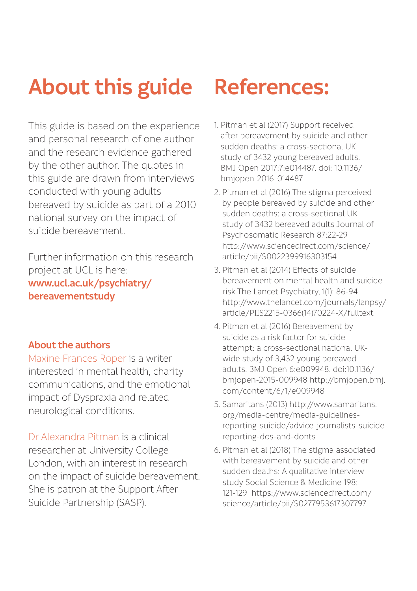### **About this guide**

This guide is based on the experience and personal research of one author and the research evidence gathered by the other author. The quotes in this guide are drawn from interviews conducted with young adults bereaved by suicide as part of a 2010 national survey on the impact of suicide bereavement.

Further information on this research project at UCL is here: **[www.ucl.ac.uk/psychiatry/](http://www.ucl.ac.uk/psychiatry/bereavementstudy) [bereavementstudy](http://www.ucl.ac.uk/psychiatry/bereavementstudy)**

#### **About the authors**

Maxine Frances Roper is a writer interested in mental health, charity communications, and the emotional impact of Dyspraxia and related neurological conditions.

Dr Alexandra Pitman is a clinical researcher at University College London, with an interest in research on the impact of suicide bereavement. She is patron at the Support After Suicide Partnership (SASP).

### **References:**

- 1. Pitman et al (2017) Support received after bereavement by suicide and other sudden deaths: a cross-sectional UK study of 3432 young bereaved adults. BMJ Open 2017;7:e014487. doi: 10.1136/ bmjopen-2016-014487
- 2. Pitman et al (2016) The stigma perceived by people bereaved by suicide and other sudden deaths: a cross-sectional UK study of 3432 bereaved adults Journal of Psychosomatic Research 87:22-29 [http://www.sciencedirect.com/science/](http://www.sciencedirect.com/science/article/pii/S0022399916303154) [article/pii/S0022399916303154](http://www.sciencedirect.com/science/article/pii/S0022399916303154)
- 3. Pitman et al (2014) Effects of suicide bereavement on mental health and suicide risk The Lancet Psychiatry, 1(1): 86-94 [http://www.thelancet.com/journals/lanpsy/](http://www.thelancet.com/journals/lanpsy/article/PIIS2215-0366(14)70224-X/fulltext) [article/PIIS2215-0366\(14\)70224-X/fulltext](http://www.thelancet.com/journals/lanpsy/article/PIIS2215-0366(14)70224-X/fulltext)
- 4. Pitman et al (2016) Bereavement by suicide as a risk factor for suicide attempt: a cross-sectional national UKwide study of 3,432 young bereaved adults. BMJ Open 6:e009948. doi:10.1136/ bmjopen-2015-009948 [http://bmjopen.bmj.](http://bmjopen.bmj.com/content/6/1/e009948) [com/content/6/1/e009948](http://bmjopen.bmj.com/content/6/1/e009948)
- 5. Samaritans (2013) [http://www.samaritans.](http://www.samaritans.org/media-centre/media-guidelines-reporting-suicide/advice-journalists-suicide-reporting-dos-and-donts) [org/media-centre/media-guidelines](http://www.samaritans.org/media-centre/media-guidelines-reporting-suicide/advice-journalists-suicide-reporting-dos-and-donts)[reporting-suicide/advice-journalists-suicide](http://www.samaritans.org/media-centre/media-guidelines-reporting-suicide/advice-journalists-suicide-reporting-dos-and-donts)[reporting-dos-and-donts](http://www.samaritans.org/media-centre/media-guidelines-reporting-suicide/advice-journalists-suicide-reporting-dos-and-donts)
- 6. Pitman et al (2018) The stigma associated with bereavement by suicide and other sudden deaths: A qualitative interview study Social Science & Medicine 198; 121-129 [https://www.sciencedirect.com/](https://www.sciencedirect.com/science/article/pii/S0277953617307797) [science/article/pii/S0277953617307797](https://www.sciencedirect.com/science/article/pii/S0277953617307797)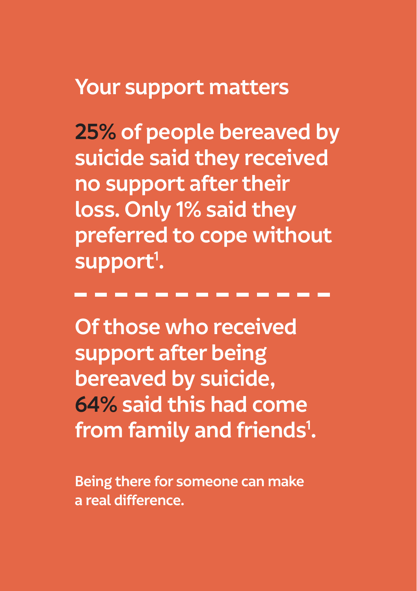### **Your support matters**

**25% of people bereaved by suicide said they received no support after their loss. Only 1% said they preferred to cope without**  support<sup>1</sup>.

**Of those who received support after being bereaved by suicide, 64% said this had come from family and friends1 .**

**Being there for someone can make a real difference.**